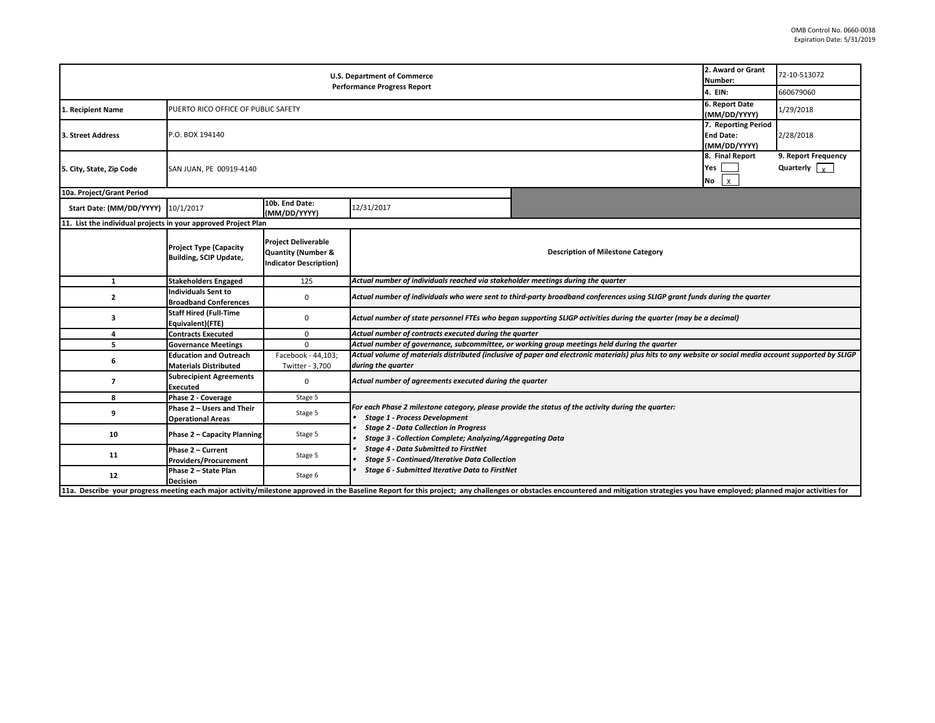| <b>U.S. Department of Commerce</b><br><b>Performance Progress Report</b> |                                                               |                                                                                              |                                                                                                                                                                                                                                                                                                                                                                       |                                                                                                                                                                                                                                | 2. Award or Grant<br>Number:<br>4. EIN: | 72-10-513072 |  |  |
|--------------------------------------------------------------------------|---------------------------------------------------------------|----------------------------------------------------------------------------------------------|-----------------------------------------------------------------------------------------------------------------------------------------------------------------------------------------------------------------------------------------------------------------------------------------------------------------------------------------------------------------------|--------------------------------------------------------------------------------------------------------------------------------------------------------------------------------------------------------------------------------|-----------------------------------------|--------------|--|--|
|                                                                          |                                                               |                                                                                              |                                                                                                                                                                                                                                                                                                                                                                       |                                                                                                                                                                                                                                |                                         | 660679060    |  |  |
| 1. Recipient Name                                                        |                                                               | 6. Report Date<br>PUERTO RICO OFFICE OF PUBLIC SAFETY<br>(MM/DD/YYYY)                        |                                                                                                                                                                                                                                                                                                                                                                       |                                                                                                                                                                                                                                |                                         |              |  |  |
| 3. Street Address                                                        | P.O. BOX 194140                                               | 7. Reporting Period<br><b>End Date:</b><br>(MM/DD/YYYY)                                      |                                                                                                                                                                                                                                                                                                                                                                       |                                                                                                                                                                                                                                |                                         | 2/28/2018    |  |  |
| 5. City, State, Zip Code                                                 | SAN JUAN, PE 00919-4140                                       | 8. Final Report<br>Yes<br>No                                                                 |                                                                                                                                                                                                                                                                                                                                                                       |                                                                                                                                                                                                                                |                                         |              |  |  |
| 10a. Project/Grant Period                                                |                                                               |                                                                                              |                                                                                                                                                                                                                                                                                                                                                                       |                                                                                                                                                                                                                                |                                         |              |  |  |
| Start Date: (MM/DD/YYYY) 10/1/2017                                       |                                                               | 10b. End Date:<br>(MM/DD/YYYY)                                                               | 12/31/2017                                                                                                                                                                                                                                                                                                                                                            |                                                                                                                                                                                                                                |                                         |              |  |  |
| 11. List the individual projects in your approved Project Plan           |                                                               |                                                                                              |                                                                                                                                                                                                                                                                                                                                                                       |                                                                                                                                                                                                                                |                                         |              |  |  |
|                                                                          | <b>Project Type (Capacity</b><br>Building, SCIP Update,       | <b>Project Deliverable</b><br><b>Quantity (Number &amp;</b><br><b>Indicator Description)</b> | <b>Description of Milestone Category</b>                                                                                                                                                                                                                                                                                                                              |                                                                                                                                                                                                                                |                                         |              |  |  |
| 1                                                                        | <b>Stakeholders Engaged</b>                                   | 125                                                                                          | Actual number of individuals reached via stakeholder meetings during the quarter                                                                                                                                                                                                                                                                                      |                                                                                                                                                                                                                                |                                         |              |  |  |
| $\overline{2}$                                                           | <b>Individuals Sent to</b><br><b>Broadband Conferences</b>    | $\mathbf 0$                                                                                  | Actual number of individuals who were sent to third-party broadband conferences using SLIGP grant funds during the quarter                                                                                                                                                                                                                                            |                                                                                                                                                                                                                                |                                         |              |  |  |
| 3                                                                        | <b>Staff Hired (Full-Time</b><br>Equivalent)(FTE)             | $\mathbf 0$                                                                                  | Actual number of state personnel FTEs who began supporting SLIGP activities during the quarter (may be a decimal)                                                                                                                                                                                                                                                     |                                                                                                                                                                                                                                |                                         |              |  |  |
| 4                                                                        | <b>Contracts Executed</b>                                     | $\mathbf 0$                                                                                  | Actual number of contracts executed during the quarter                                                                                                                                                                                                                                                                                                                |                                                                                                                                                                                                                                |                                         |              |  |  |
| 5                                                                        | <b>Governance Meetings</b>                                    | $\Omega$                                                                                     | Actual number of governance, subcommittee, or working group meetings held during the quarter                                                                                                                                                                                                                                                                          |                                                                                                                                                                                                                                |                                         |              |  |  |
| 6                                                                        | <b>Education and Outreach</b><br><b>Materials Distributed</b> | Facebook - 44,103;<br>Twitter - 3,700                                                        | Actual volume of materials distributed (inclusive of paper and electronic materials) plus hits to any website or social media account supported by SLIGP<br>during the quarter                                                                                                                                                                                        |                                                                                                                                                                                                                                |                                         |              |  |  |
| $\overline{7}$                                                           | <b>Subrecipient Agreements</b><br>Executed                    | $\mathbf 0$                                                                                  | Actual number of agreements executed during the quarter                                                                                                                                                                                                                                                                                                               |                                                                                                                                                                                                                                |                                         |              |  |  |
| 8                                                                        | Phase 2 - Coverage                                            | Stage 5                                                                                      |                                                                                                                                                                                                                                                                                                                                                                       |                                                                                                                                                                                                                                |                                         |              |  |  |
| 9                                                                        | Phase 2 - Users and Their<br><b>Operational Areas</b>         | Stage 5                                                                                      | For each Phase 2 milestone category, please provide the status of the activity during the quarter:<br><b>Stage 1 - Process Development</b><br><b>Stage 2 - Data Collection in Progress</b><br><b>Stage 3 - Collection Complete; Analyzing/Aggregating Data</b><br><b>Stage 4 - Data Submitted to FirstNet</b><br><b>Stage 5 - Continued/Iterative Data Collection</b> |                                                                                                                                                                                                                                |                                         |              |  |  |
| 10                                                                       | Phase 2 - Capacity Planning                                   | Stage 5                                                                                      |                                                                                                                                                                                                                                                                                                                                                                       |                                                                                                                                                                                                                                |                                         |              |  |  |
| 11                                                                       | Phase 2 - Current<br><b>Providers/Procurement</b>             | Stage 5                                                                                      |                                                                                                                                                                                                                                                                                                                                                                       |                                                                                                                                                                                                                                |                                         |              |  |  |
| 12                                                                       | Phase 2 - State Plan<br><b>Decision</b>                       | Stage 6                                                                                      | Stage 6 - Submitted Iterative Data to FirstNet                                                                                                                                                                                                                                                                                                                        |                                                                                                                                                                                                                                |                                         |              |  |  |
|                                                                          |                                                               |                                                                                              |                                                                                                                                                                                                                                                                                                                                                                       | 11a. Describe your progress meeting each major activity/milestone approved in the Baseline Report for this project; any challenges or obstacles encountered and mitigation strategies you have employed; planned major activit |                                         |              |  |  |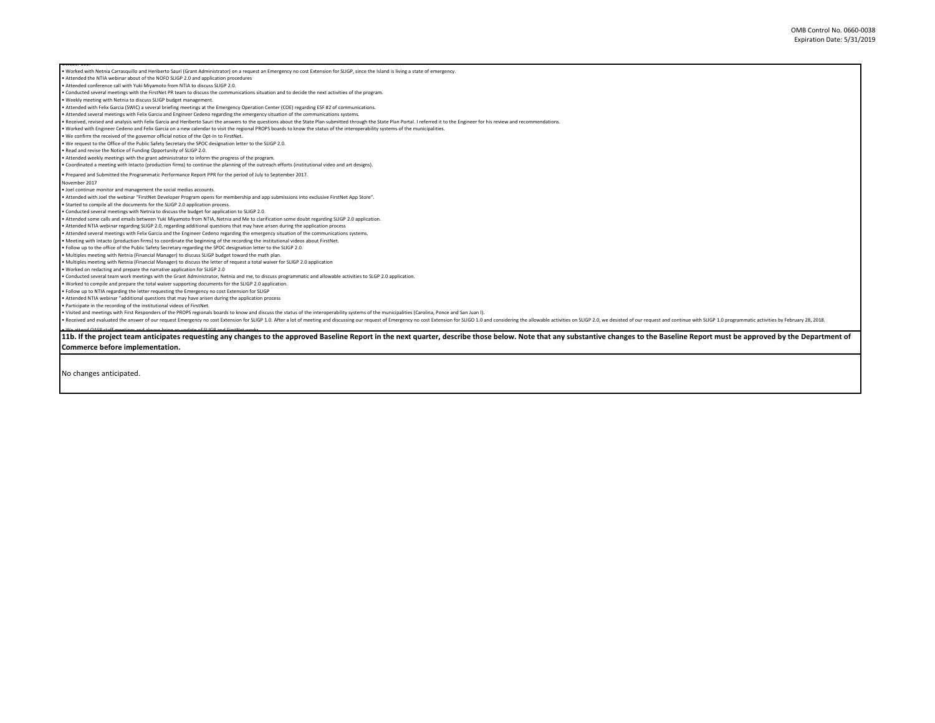a Weather OASR codf meeting and abunus being anyodite SHAR was for the approved Baseline Report in the next quarter, describe those below. Note that any substantive changes to the Baseline Report must be approved by the De • Worked with Netnia Carrasquillo and Heriberto Saurí (Grant Administrator) on a request an Emergency no cost Extension for SLIGP, since the Island is living a state of emergency. • Attended the NTIA webinar about of the NOFO SLIGP 2.0 and application procedures • Attended conference call with Yuki Miyamoto from NTIA to discuss SLIGP 2.0. • Conducted several meetings with the FirstNet PR team to discuss the communications situation and to decide the next activities of the program. • Weekly meeting with Netnia to discuss SLIGP budget management. • Attended with Felix Garcia (SWIC) a several briefing meetings at the Emergency Operation Center (COE) regarding ESF #2 of communications. • Attended several meetings with Felix Garcia and Engineer Cedeno regarding the emergency situation of the communications systems. Received, revised and analysis with Felix Garcia and Heriberto Sauri the answers to the questions about the State Plan submitted through the State Plan Portal. I referred it to the Engineer for his review and recommendatio • Worked with Engineer Cedeno and Felix Garcia on a new calendar to visit the regional PROPS boards to know the status of the interoperability systems of the municipalities. • We confirm the received of the governor official notice of the Opt-In to FirstNet. • We request to the Office of the Public Safety Secretary the SPOC designation letter to the SLIGP 2.0. • Read and revise the Notice of Funding Opportunity of SLIGP 2.0. • Attended weekly meetings with the grant administrator to inform the progress of the program. • Coordinated a meeting with Intacto (production firms) to continue the planning of the outreach efforts (institutional video and art designs). • Prepared and Submitted the Programmatic Performance Report PPR for the period of July to September 2017. November 2017 • Joel continue monitor and management the social medias accounts. • Attended with Joel the webinar "FirstNet Developer Program opens for membership and app submissions into exclusive FirstNet App Store". • Started to compile all the documents for the SLIGP 2.0 application process. • Conducted several meetings with Netnia to discuss the budget for application to SLIGP 2.0. • Attended some calls and emails between Yuki Miyamoto from NTIA, Netnia and Me to clarification some doubt regarding SLIGP 2.0 application. • Attended NTIA webinar regarding SLIGP 2.0, regarding additional questions that may have arisen during the application process • Attended several meetings with Felix Garcia and the Engineer Cedeno regarding the emergency situation of the communications systems. • Meeting with Intacto (production firms) to coordinate the beginning of the recording the institutional videos about FirstNet. • Follow up to the office of the Public Safety Secretary regarding the SPOC designation letter to the SLIGP 2.0. • Multiples meeting with Netnia (Financial Manager) to discuss SLIGP budget toward the math plan. • Multiples meeting with Netnia (Financial Manager) to discuss the letter of request a total waiver for SLIGP 2.0 application • Worked on redacting and prepare the narrative application for SLIGP 2.0 • Conducted several team work meetings with the Grant Administrator, Netnia and me, to discuss programmatic and allowable activities to SLGP 2.0 application. • Worked to compile and prepare the total waiver supporting documents for the SLIGP 2.0 application. • Follow up to NTIA regarding the letter requesting the Emergency no cost Extension for SLIGP • Attended NTIA webinar "additional questions that may have arisen during the application process • Participate in the recording of the institutional videos of FirstNet. • Visited and meetings with First Responders of the PROPS regionals boards to know and discuss the status of the interoperability systems of the municipalities (Carolina, Ponce and San Juan I). Received and evaluated the answer of our request Emergency no cost Extension for SLIGP 1.0. After a lot of meeting and discussing our request of Emergency no cost Extension for SLIGP 1.0. After a lot of meeting and discuss

**Commerce before implementation.** 

No changes anticipated.

October 2017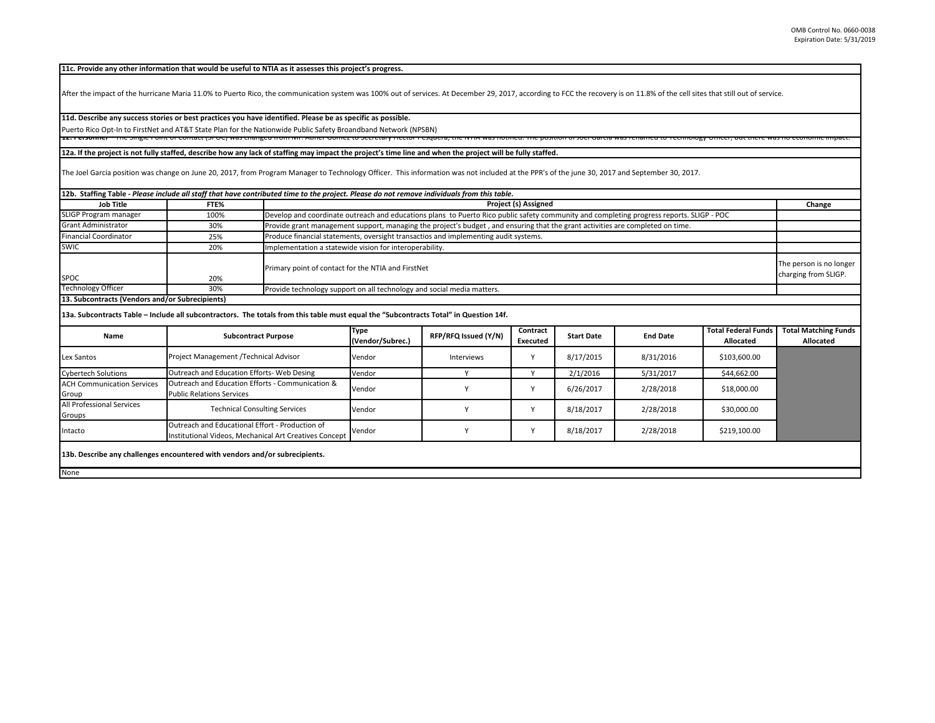**11c. Provide any other information that would be useful to NTIA as it assesses this project's progress.** 

After the impact of the hurricane Maria 11.0% to Puerto Rico, the communication system was 100% out of services. At December 29, 2017, according to FCC the recovery is on 11.8% of the cell sites that still out of service.

## **11d. Describe any success stories or best practices you have identified. Please be as specific as possible.**

Puerto Rico Opt-In to FirstNet and AT&T State Plan for the Nationwide Public Safety Broandband Network (NPSBN) TET CISOMICI THE SHIGHET ONLY TO DIRECT OF DESTINING AND THE CORPORT OF CONTROL TO A CONTROL TO A CHI A WAS HOURGET THE POSITION OF SOCION OF SOCIONAL THE POSITION OF SOCIONAL CHICLO, DEL THE WAS NO CONTROL IMPACT.

## **12a. If the project is not fully staffed, describe how any lack of staffing may impact the project's time line and when the project will be fully staffed.**

The Joel Garcia position was change on June 20, 2017, from Program Manager to Technology Officer. This information was not included at the PPR's of the june 30, 2017 and September 30, 2017.

| 12b. Staffing Table - Please include all staff that have contributed time to the project. Please do not remove individuals from this table. |      |                                                                                                                                          |                                                 |  |  |  |
|---------------------------------------------------------------------------------------------------------------------------------------------|------|------------------------------------------------------------------------------------------------------------------------------------------|-------------------------------------------------|--|--|--|
| <b>Job Title</b>                                                                                                                            | FTE% | Project (s) Assigned                                                                                                                     | Change                                          |  |  |  |
| SLIGP Program manager                                                                                                                       | 100% | Develop and coordinate outreach and educations plans to Puerto Rico public safety community and completing progress reports. SLIGP - POC |                                                 |  |  |  |
| <b>Grant Administrator</b>                                                                                                                  | 30%  | Provide grant management support, managing the project's budget, and ensuring that the grant activities are completed on time.           |                                                 |  |  |  |
| <b>Financial Coordinator</b>                                                                                                                | 25%  | Produce financial statements, oversight transactios and implementing audit systems.                                                      |                                                 |  |  |  |
| SWIC                                                                                                                                        | 20%  | Implementation a statewide vision for interoperability.                                                                                  |                                                 |  |  |  |
| <b>SPOC</b>                                                                                                                                 | 20%  | Primary point of contact for the NTIA and FirstNet                                                                                       | The person is no longer<br>charging from SLIGP. |  |  |  |
| <b>Technology Officer</b>                                                                                                                   | 30%  | Provide technology support on all technology and social media matters.                                                                   |                                                 |  |  |  |
| 13. Subcontracts (Vendors and/or Subrecipients)                                                                                             |      |                                                                                                                                          |                                                 |  |  |  |

**13a. Subcontracts Table – Include all subcontractors. The totals from this table must equal the "Subcontracts Total" in Question 14f.**

| Name                                                                        | <b>Subcontract Purpose</b>                                                                                | <b>Type</b><br>(Vendor/Subrec.) | RFP/RFQ Issued (Y/N) | Contract<br>Executed | <b>Start Date</b> | <b>End Date</b> | <b>Total Federal Funds</b><br>Allocated | <b>Total Matching Funds</b><br>Allocated |
|-----------------------------------------------------------------------------|-----------------------------------------------------------------------------------------------------------|---------------------------------|----------------------|----------------------|-------------------|-----------------|-----------------------------------------|------------------------------------------|
| Lex Santos                                                                  | Project Management /Technical Advisor                                                                     | Vendor                          | Interviews           |                      | 8/17/2015         | 8/31/2016       | \$103,600.00                            |                                          |
| <b>Cybertech Solutions</b>                                                  | Outreach and Education Efforts- Web Desing                                                                | Vendor                          |                      |                      | 2/1/2016          | 5/31/2017       | \$44,662.00                             |                                          |
| <b>ACH Communication Services</b><br>Group                                  | Outreach and Education Efforts - Communication &<br><b>Public Relations Services</b>                      | Vendor                          |                      | $\lambda$            | 6/26/2017         | 2/28/2018       | \$18,000.00                             |                                          |
| All Professional Services<br>Groups                                         | <b>Technical Consulting Services</b>                                                                      | Vendor                          |                      |                      | 8/18/2017         | 2/28/2018       | \$30,000.00                             |                                          |
| Intacto                                                                     | Outreach and Educational Effort - Production of<br>Institutional Videos, Mechanical Art Creatives Concept | Vendor                          |                      |                      | 8/18/2017         | 2/28/2018       | \$219,100.00                            |                                          |
| 13b. Describe any challenges encountered with vendors and/or subrecipients. |                                                                                                           |                                 |                      |                      |                   |                 |                                         |                                          |
| None                                                                        |                                                                                                           |                                 |                      |                      |                   |                 |                                         |                                          |